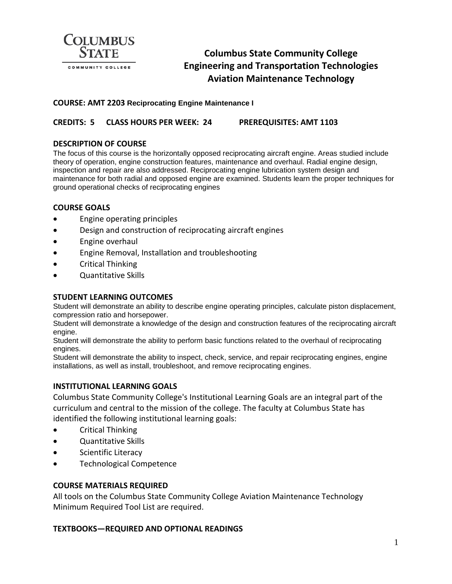

# **Columbus State Community College Engineering and Transportation Technologies Aviation Maintenance Technology**

## **COURSE: AMT 2203 Reciprocating Engine Maintenance I**

# **CREDITS: 5 CLASS HOURS PER WEEK: 24 PREREQUISITES: AMT 1103**

## **DESCRIPTION OF COURSE**

The focus of this course is the horizontally opposed reciprocating aircraft engine. Areas studied include theory of operation, engine construction features, maintenance and overhaul. Radial engine design, inspection and repair are also addressed. Reciprocating engine lubrication system design and maintenance for both radial and opposed engine are examined. Students learn the proper techniques for ground operational checks of reciprocating engines

### **COURSE GOALS**

- Engine operating principles
- Design and construction of reciprocating aircraft engines
- Engine overhaul
- Engine Removal, Installation and troubleshooting
- Critical Thinking
- Quantitative Skills

### **STUDENT LEARNING OUTCOMES**

Student will demonstrate an ability to describe engine operating principles, calculate piston displacement, compression ratio and horsepower.

Student will demonstrate a knowledge of the design and construction features of the reciprocating aircraft engine.

Student will demonstrate the ability to perform basic functions related to the overhaul of reciprocating engines.

Student will demonstrate the ability to inspect, check, service, and repair reciprocating engines, engine installations, as well as install, troubleshoot, and remove reciprocating engines.

## **INSTITUTIONAL LEARNING GOALS**

Columbus State Community College's Institutional Learning Goals are an integral part of the curriculum and central to the mission of the college. The faculty at Columbus State has identified the following institutional learning goals:

- Critical Thinking
- Quantitative Skills
- Scientific Literacy
- Technological Competence

### **COURSE MATERIALS REQUIRED**

All tools on the Columbus State Community College Aviation Maintenance Technology Minimum Required Tool List are required.

### **TEXTBOOKS—REQUIRED AND OPTIONAL READINGS**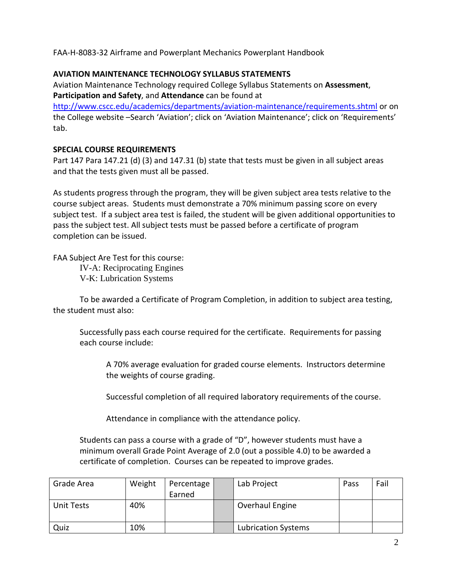FAA-H-8083-32 Airframe and Powerplant Mechanics Powerplant Handbook

# **AVIATION MAINTENANCE TECHNOLOGY SYLLABUS STATEMENTS**

Aviation Maintenance Technology required College Syllabus Statements on **Assessment**, **Participation and Safety**, and **Attendance** can be found at

<http://www.cscc.edu/academics/departments/aviation-maintenance/requirements.shtml> or on the College website –Search 'Aviation'; click on 'Aviation Maintenance'; click on 'Requirements' tab.

# **SPECIAL COURSE REQUIREMENTS**

Part 147 Para 147.21 (d) (3) and 147.31 (b) state that tests must be given in all subject areas and that the tests given must all be passed.

As students progress through the program, they will be given subject area tests relative to the course subject areas. Students must demonstrate a 70% minimum passing score on every subject test. If a subject area test is failed, the student will be given additional opportunities to pass the subject test. All subject tests must be passed before a certificate of program completion can be issued.

FAA Subject Are Test for this course: IV-A: Reciprocating Engines V-K: Lubrication Systems

To be awarded a Certificate of Program Completion, in addition to subject area testing, the student must also:

Successfully pass each course required for the certificate. Requirements for passing each course include:

A 70% average evaluation for graded course elements. Instructors determine the weights of course grading.

Successful completion of all required laboratory requirements of the course.

Attendance in compliance with the attendance policy.

Students can pass a course with a grade of "D", however students must have a minimum overall Grade Point Average of 2.0 (out a possible 4.0) to be awarded a certificate of completion. Courses can be repeated to improve grades.

| Grade Area        | Weight | Percentage | Lab Project                | Pass | Fail |
|-------------------|--------|------------|----------------------------|------|------|
|                   |        | Earned     |                            |      |      |
| <b>Unit Tests</b> | 40%    |            | Overhaul Engine            |      |      |
| Quiz              | 10%    |            | <b>Lubrication Systems</b> |      |      |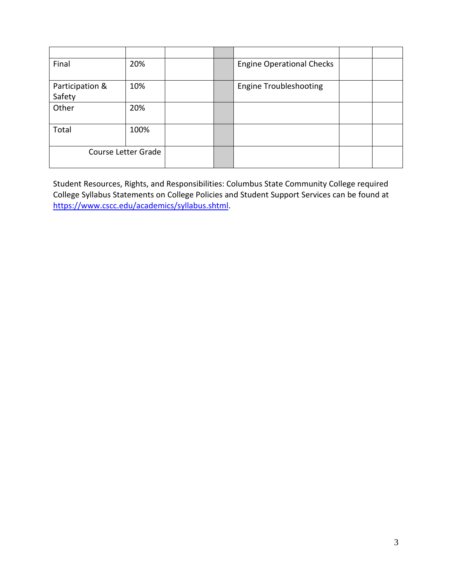| Final               | 20%  |  | <b>Engine Operational Checks</b> |  |
|---------------------|------|--|----------------------------------|--|
| Participation &     | 10%  |  | <b>Engine Troubleshooting</b>    |  |
| Safety              |      |  |                                  |  |
| Other               | 20%  |  |                                  |  |
| Total               | 100% |  |                                  |  |
| Course Letter Grade |      |  |                                  |  |

Student Resources, Rights, and Responsibilities: Columbus State Community College required College Syllabus Statements on College Policies and Student Support Services can be found at [https://www.cscc.edu/academics/syllabus.shtml.](https://www.cscc.edu/academics/syllabus.shtml)